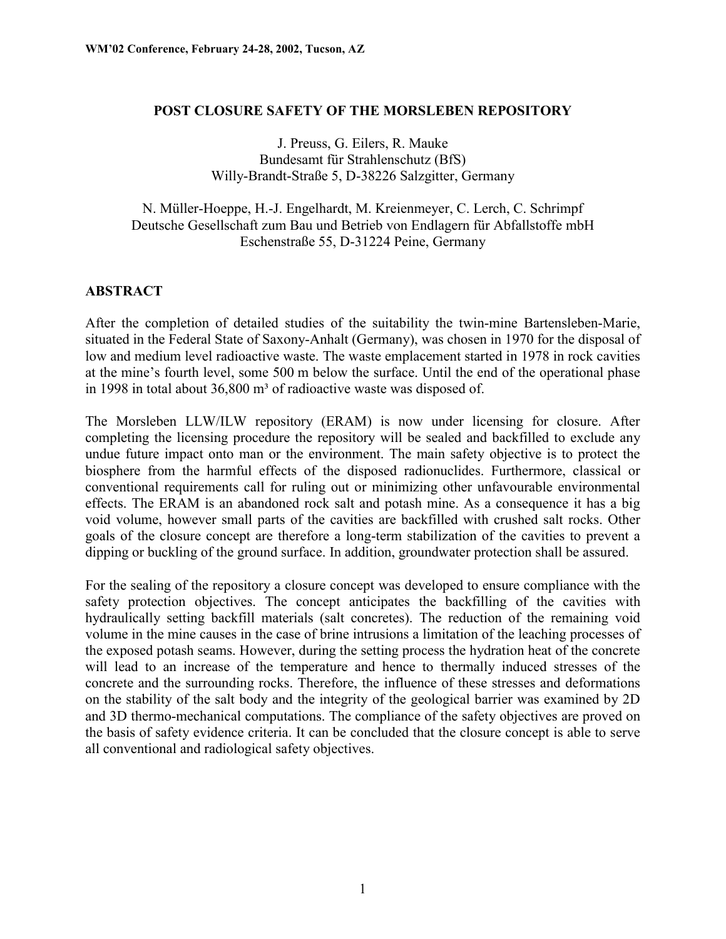#### **POST CLOSURE SAFETY OF THE MORSLEBEN REPOSITORY**

J. Preuss, G. Eilers, R. Mauke Bundesamt für Strahlenschutz (BfS) Willy-Brandt-Straße 5, D-38226 Salzgitter, Germany

N. Müller-Hoeppe, H.-J. Engelhardt, M. Kreienmeyer, C. Lerch, C. Schrimpf Deutsche Gesellschaft zum Bau und Betrieb von Endlagern für Abfallstoffe mbH Eschenstraße 55, D-31224 Peine, Germany

#### **ABSTRACT**

After the completion of detailed studies of the suitability the twin-mine Bartensleben-Marie, situated in the Federal State of Saxony-Anhalt (Germany), was chosen in 1970 for the disposal of low and medium level radioactive waste. The waste emplacement started in 1978 in rock cavities at the mine's fourth level, some 500 m below the surface. Until the end of the operational phase in 1998 in total about  $36,800$  m<sup>3</sup> of radioactive waste was disposed of.

The Morsleben LLW/ILW repository (ERAM) is now under licensing for closure. After completing the licensing procedure the repository will be sealed and backfilled to exclude any undue future impact onto man or the environment. The main safety objective is to protect the biosphere from the harmful effects of the disposed radionuclides. Furthermore, classical or conventional requirements call for ruling out or minimizing other unfavourable environmental effects. The ERAM is an abandoned rock salt and potash mine. As a consequence it has a big void volume, however small parts of the cavities are backfilled with crushed salt rocks. Other goals of the closure concept are therefore a long-term stabilization of the cavities to prevent a dipping or buckling of the ground surface. In addition, groundwater protection shall be assured.

For the sealing of the repository a closure concept was developed to ensure compliance with the safety protection objectives. The concept anticipates the backfilling of the cavities with hydraulically setting backfill materials (salt concretes). The reduction of the remaining void volume in the mine causes in the case of brine intrusions a limitation of the leaching processes of the exposed potash seams. However, during the setting process the hydration heat of the concrete will lead to an increase of the temperature and hence to thermally induced stresses of the concrete and the surrounding rocks. Therefore, the influence of these stresses and deformations on the stability of the salt body and the integrity of the geological barrier was examined by 2D and 3D thermo-mechanical computations. The compliance of the safety objectives are proved on the basis of safety evidence criteria. It can be concluded that the closure concept is able to serve all conventional and radiological safety objectives.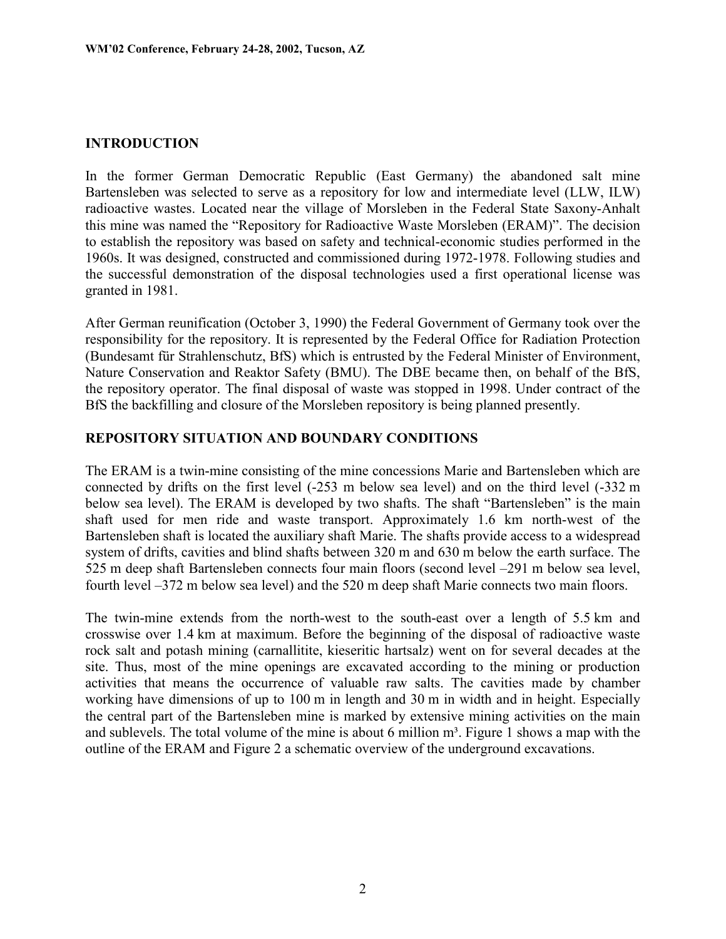### **INTRODUCTION**

In the former German Democratic Republic (East Germany) the abandoned salt mine Bartensleben was selected to serve as a repository for low and intermediate level (LLW, ILW) radioactive wastes. Located near the village of Morsleben in the Federal State Saxony-Anhalt this mine was named the "Repository for Radioactive Waste Morsleben (ERAM)". The decision to establish the repository was based on safety and technical-economic studies performed in the 1960s. It was designed, constructed and commissioned during 1972-1978. Following studies and the successful demonstration of the disposal technologies used a first operational license was granted in 1981.

After German reunification (October 3, 1990) the Federal Government of Germany took over the responsibility for the repository. It is represented by the Federal Office for Radiation Protection (Bundesamt für Strahlenschutz, BfS) which is entrusted by the Federal Minister of Environment, Nature Conservation and Reaktor Safety (BMU). The DBE became then, on behalf of the BfS, the repository operator. The final disposal of waste was stopped in 1998. Under contract of the BfS the backfilling and closure of the Morsleben repository is being planned presently.

#### **REPOSITORY SITUATION AND BOUNDARY CONDITIONS**

The ERAM is a twin-mine consisting of the mine concessions Marie and Bartensleben which are connected by drifts on the first level (-253 m below sea level) and on the third level (-332 m below sea level). The ERAM is developed by two shafts. The shaft "Bartensleben" is the main shaft used for men ride and waste transport. Approximately 1.6 km north-west of the Bartensleben shaft is located the auxiliary shaft Marie. The shafts provide access to a widespread system of drifts, cavities and blind shafts between 320 m and 630 m below the earth surface. The 525 m deep shaft Bartensleben connects four main floors (second level –291 m below sea level, fourth level –372 m below sea level) and the 520 m deep shaft Marie connects two main floors.

The twin-mine extends from the north-west to the south-east over a length of 5.5 km and crosswise over 1.4 km at maximum. Before the beginning of the disposal of radioactive waste rock salt and potash mining (carnallitite, kieseritic hartsalz) went on for several decades at the site. Thus, most of the mine openings are excavated according to the mining or production activities that means the occurrence of valuable raw salts. The cavities made by chamber working have dimensions of up to 100 m in length and 30 m in width and in height. Especially the central part of the Bartensleben mine is marked by extensive mining activities on the main and sublevels. The total volume of the mine is about 6 million  $m<sup>3</sup>$ . Figure 1 shows a map with the outline of the ERAM and Figure 2 a schematic overview of the underground excavations.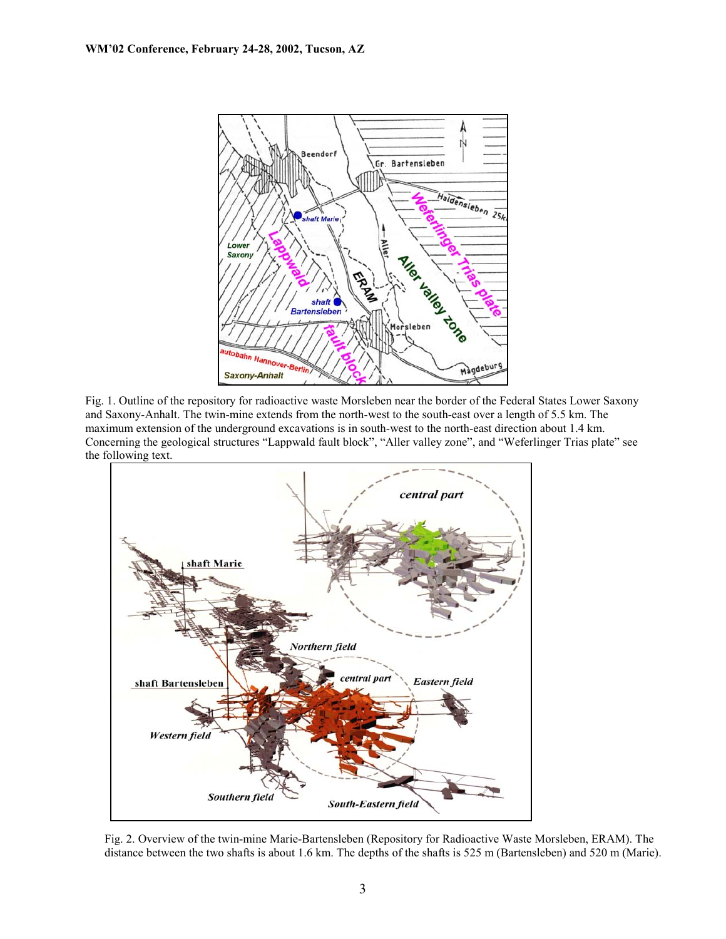

Fig. 1. Outline of the repository for radioactive waste Morsleben near the border of the Federal States Lower Saxony and Saxony-Anhalt. The twin-mine extends from the north-west to the south-east over a length of 5.5 km. The maximum extension of the underground excavations is in south-west to the north-east direction about 1.4 km. Concerning the geological structures "Lappwald fault block", "Aller valley zone", and "Weferlinger Trias plate" see the following text.



Fig. 2. Overview of the twin-mine Marie-Bartensleben (Repository for Radioactive Waste Morsleben, ERAM). The distance between the two shafts is about 1.6 km. The depths of the shafts is 525 m (Bartensleben) and 520 m (Marie).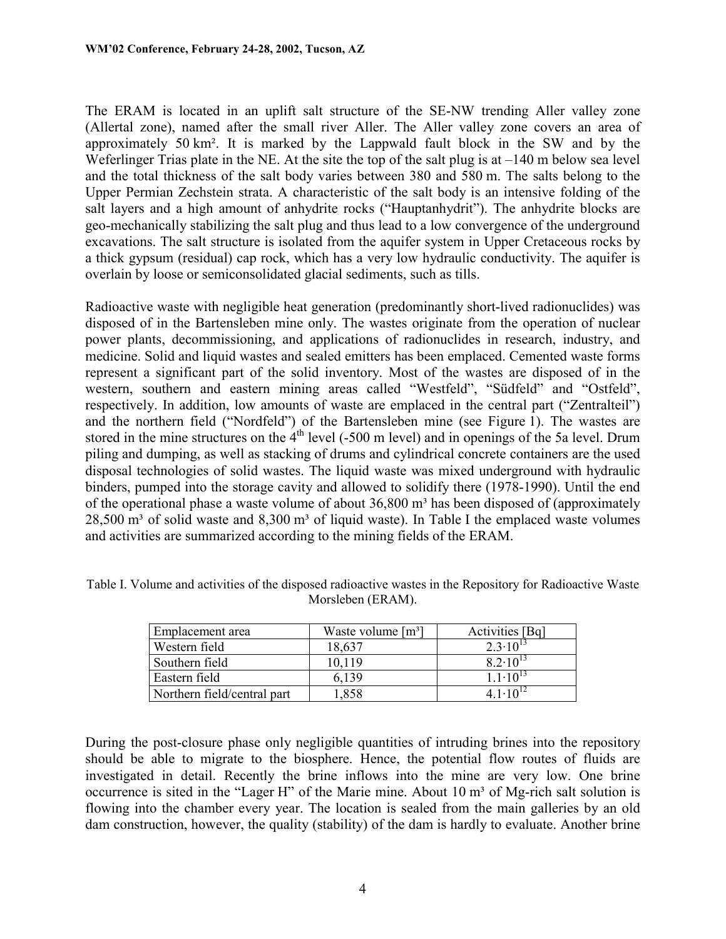The ERAM is located in an uplift salt structure of the SE-NW trending Aller valley zone (Allertal zone), named after the small river Aller. The Aller valley zone covers an area of approximately 50 km². It is marked by the Lappwald fault block in the SW and by the Weferlinger Trias plate in the NE. At the site the top of the salt plug is at  $-140$  m below sea level and the total thickness of the salt body varies between 380 and 580 m. The salts belong to the Upper Permian Zechstein strata. A characteristic of the salt body is an intensive folding of the salt layers and a high amount of anhydrite rocks ("Hauptanhydrit"). The anhydrite blocks are geo-mechanically stabilizing the salt plug and thus lead to a low convergence of the underground excavations. The salt structure is isolated from the aquifer system in Upper Cretaceous rocks by a thick gypsum (residual) cap rock, which has a very low hydraulic conductivity. The aquifer is overlain by loose or semiconsolidated glacial sediments, such as tills.

Radioactive waste with negligible heat generation (predominantly short-lived radionuclides) was disposed of in the Bartensleben mine only. The wastes originate from the operation of nuclear power plants, decommissioning, and applications of radionuclides in research, industry, and medicine. Solid and liquid wastes and sealed emitters has been emplaced. Cemented waste forms represent a significant part of the solid inventory. Most of the wastes are disposed of in the western, southern and eastern mining areas called "Westfeld", "Südfeld" and "Ostfeld", respectively. In addition, low amounts of waste are emplaced in the central part ("Zentralteil") and the northern field ("Nordfeld") of the Bartensleben mine (see Figure 1). The wastes are stored in the mine structures on the  $4<sup>th</sup>$  level (-500 m level) and in openings of the 5a level. Drum piling and dumping, as well as stacking of drums and cylindrical concrete containers are the used disposal technologies of solid wastes. The liquid waste was mixed underground with hydraulic binders, pumped into the storage cavity and allowed to solidify there (1978-1990). Until the end of the operational phase a waste volume of about  $36,800$  m<sup>3</sup> has been disposed of (approximately  $28,500$  m<sup>3</sup> of solid waste and  $8,300$  m<sup>3</sup> of liquid waste). In Table I the emplaced waste volumes and activities are summarized according to the mining fields of the ERAM.

| Emplacement area            | Waste volume $[m^3]$ | Activities [Bq]     |
|-----------------------------|----------------------|---------------------|
| Western field               | 18,637               | $2.3 \cdot 10^{13}$ |
| Southern field              | 10 1 19              | $8.2 \cdot 10^{13}$ |
| Eastern field               | 6.139                | $11.10^{13}$        |
| Northern field/central part | 1,858                | $4.1 \cdot 10^{12}$ |

Table I. Volume and activities of the disposed radioactive wastes in the Repository for Radioactive Waste Morsleben (ERAM).

During the post-closure phase only negligible quantities of intruding brines into the repository should be able to migrate to the biosphere. Hence, the potential flow routes of fluids are investigated in detail. Recently the brine inflows into the mine are very low. One brine occurrence is sited in the "Lager H" of the Marie mine. About  $10 \text{ m}^3$  of Mg-rich salt solution is flowing into the chamber every year. The location is sealed from the main galleries by an old dam construction, however, the quality (stability) of the dam is hardly to evaluate. Another brine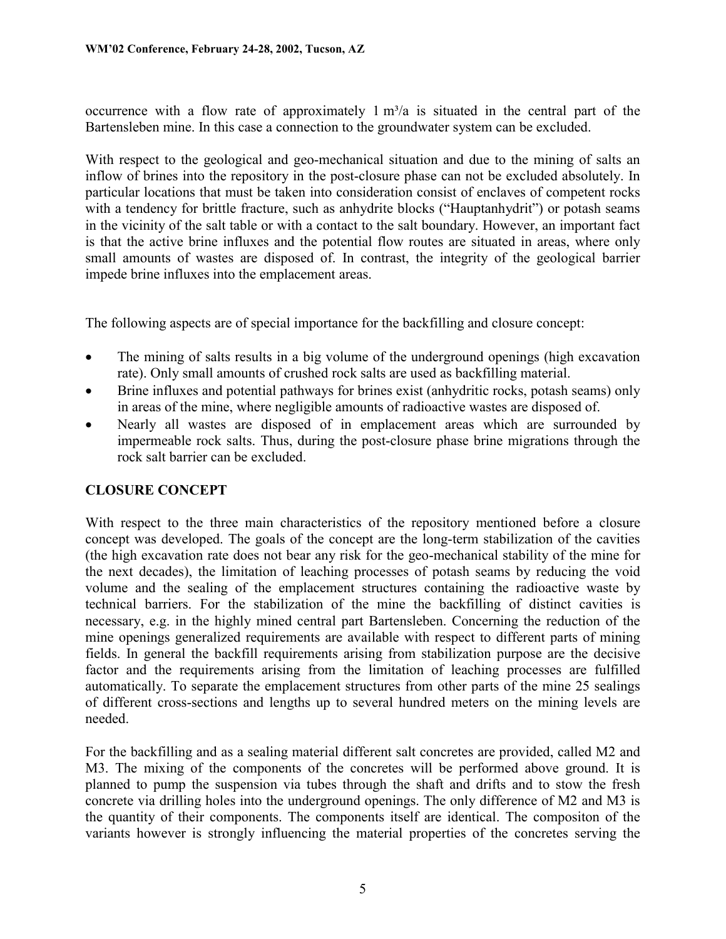occurrence with a flow rate of approximately  $1 \text{ m}^3/\text{a}$  is situated in the central part of the Bartensleben mine. In this case a connection to the groundwater system can be excluded.

With respect to the geological and geo-mechanical situation and due to the mining of salts an inflow of brines into the repository in the post-closure phase can not be excluded absolutely. In particular locations that must be taken into consideration consist of enclaves of competent rocks with a tendency for brittle fracture, such as anhydrite blocks ("Hauptanhydrit") or potash seams in the vicinity of the salt table or with a contact to the salt boundary. However, an important fact is that the active brine influxes and the potential flow routes are situated in areas, where only small amounts of wastes are disposed of. In contrast, the integrity of the geological barrier impede brine influxes into the emplacement areas.

The following aspects are of special importance for the backfilling and closure concept:

- $\bullet$  The mining of salts results in a big volume of the underground openings (high excavation rate). Only small amounts of crushed rock salts are used as backfilling material.
- - Brine influxes and potential pathways for brines exist (anhydritic rocks, potash seams) only in areas of the mine, where negligible amounts of radioactive wastes are disposed of.
- $\bullet$  Nearly all wastes are disposed of in emplacement areas which are surrounded by impermeable rock salts. Thus, during the post-closure phase brine migrations through the rock salt barrier can be excluded.

# **CLOSURE CONCEPT**

With respect to the three main characteristics of the repository mentioned before a closure concept was developed. The goals of the concept are the long-term stabilization of the cavities (the high excavation rate does not bear any risk for the geo-mechanical stability of the mine for the next decades), the limitation of leaching processes of potash seams by reducing the void volume and the sealing of the emplacement structures containing the radioactive waste by technical barriers. For the stabilization of the mine the backfilling of distinct cavities is necessary, e.g. in the highly mined central part Bartensleben. Concerning the reduction of the mine openings generalized requirements are available with respect to different parts of mining fields. In general the backfill requirements arising from stabilization purpose are the decisive factor and the requirements arising from the limitation of leaching processes are fulfilled automatically. To separate the emplacement structures from other parts of the mine 25 sealings of different cross-sections and lengths up to several hundred meters on the mining levels are needed.

For the backfilling and as a sealing material different salt concretes are provided, called M2 and M3. The mixing of the components of the concretes will be performed above ground. It is planned to pump the suspension via tubes through the shaft and drifts and to stow the fresh concrete via drilling holes into the underground openings. The only difference of M2 and M3 is the quantity of their components. The components itself are identical. The compositon of the variants however is strongly influencing the material properties of the concretes serving the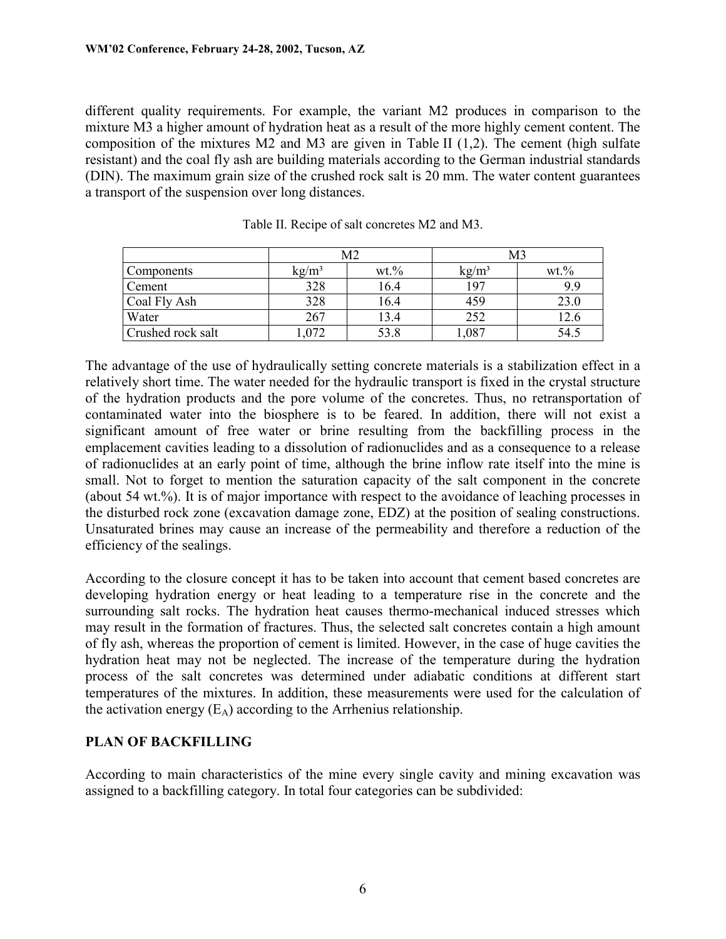different quality requirements. For example, the variant M2 produces in comparison to the mixture M3 a higher amount of hydration heat as a result of the more highly cement content. The composition of the mixtures M2 and M3 are given in Table II (1,2). The cement (high sulfate resistant) and the coal fly ash are building materials according to the German industrial standards (DIN). The maximum grain size of the crushed rock salt is 20 mm. The water content guarantees a transport of the suspension over long distances.

|                   | Μ2              |          | M3              |         |
|-------------------|-----------------|----------|-----------------|---------|
| Components        | $\text{kg/m}^3$ | $wt. \%$ | $\text{kg/m}^3$ | $wt$ .% |
| Cement            | 328             | 16.4     | 197             | 9.9     |
| Coal Fly Ash      | 328             | 16.4     | 459             | 23.0    |
| Water             | 267             | 13.4     | 252             | 12.6    |
| Crushed rock salt | .072            | 53.8     | ,087            | 54.5    |

Table II. Recipe of salt concretes M2 and M3.

The advantage of the use of hydraulically setting concrete materials is a stabilization effect in a relatively short time. The water needed for the hydraulic transport is fixed in the crystal structure of the hydration products and the pore volume of the concretes. Thus, no retransportation of contaminated water into the biosphere is to be feared. In addition, there will not exist a significant amount of free water or brine resulting from the backfilling process in the emplacement cavities leading to a dissolution of radionuclides and as a consequence to a release of radionuclides at an early point of time, although the brine inflow rate itself into the mine is small. Not to forget to mention the saturation capacity of the salt component in the concrete (about 54 wt.%). It is of major importance with respect to the avoidance of leaching processes in the disturbed rock zone (excavation damage zone, EDZ) at the position of sealing constructions. Unsaturated brines may cause an increase of the permeability and therefore a reduction of the efficiency of the sealings.

According to the closure concept it has to be taken into account that cement based concretes are developing hydration energy or heat leading to a temperature rise in the concrete and the surrounding salt rocks. The hydration heat causes thermo-mechanical induced stresses which may result in the formation of fractures. Thus, the selected salt concretes contain a high amount of fly ash, whereas the proportion of cement is limited. However, in the case of huge cavities the hydration heat may not be neglected. The increase of the temperature during the hydration process of the salt concretes was determined under adiabatic conditions at different start temperatures of the mixtures. In addition, these measurements were used for the calculation of the activation energy  $(E_A)$  according to the Arrhenius relationship.

### **PLAN OF BACKFILLING**

According to main characteristics of the mine every single cavity and mining excavation was assigned to a backfilling category. In total four categories can be subdivided: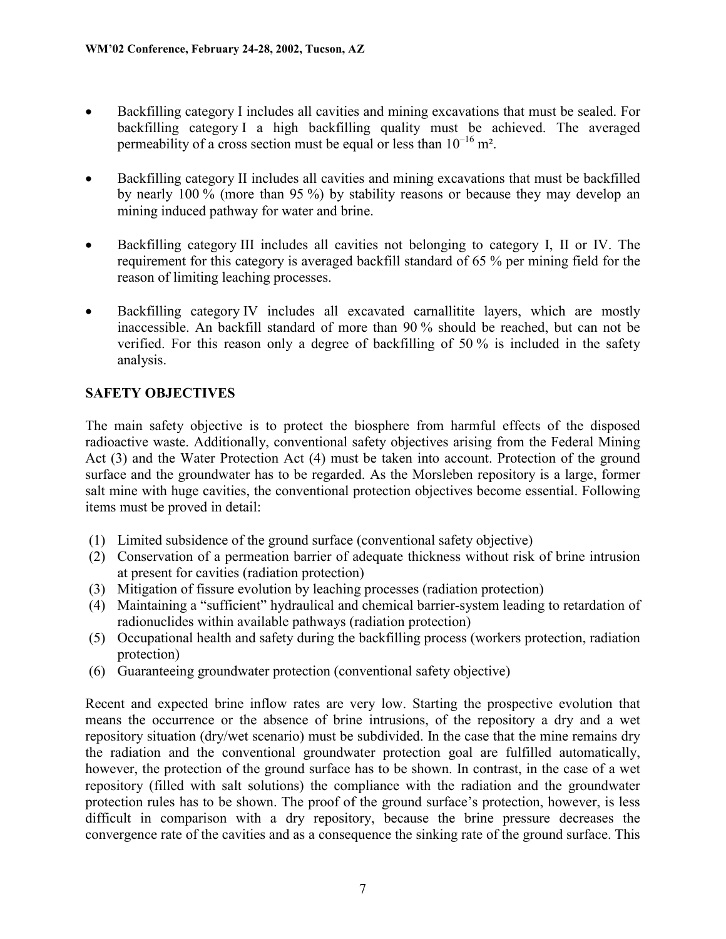- $\bullet$  Backfilling category I includes all cavities and mining excavations that must be sealed. For backfilling category I a high backfilling quality must be achieved. The averaged permeability of a cross section must be equal or less than  $10^{-16}$  m<sup>2</sup>.
- - Backfilling category II includes all cavities and mining excavations that must be backfilled by nearly 100 % (more than 95 %) by stability reasons or because they may develop an mining induced pathway for water and brine.
- $\bullet$  Backfilling category III includes all cavities not belonging to category I, II or IV. The requirement for this category is averaged backfill standard of 65 % per mining field for the reason of limiting leaching processes.
- - Backfilling category IV includes all excavated carnallitite layers, which are mostly inaccessible. An backfill standard of more than 90 % should be reached, but can not be verified. For this reason only a degree of backfilling of 50 % is included in the safety analysis.

# **SAFETY OBJECTIVES**

The main safety objective is to protect the biosphere from harmful effects of the disposed radioactive waste. Additionally, conventional safety objectives arising from the Federal Mining Act (3) and the Water Protection Act (4) must be taken into account. Protection of the ground surface and the groundwater has to be regarded. As the Morsleben repository is a large, former salt mine with huge cavities, the conventional protection objectives become essential. Following items must be proved in detail:

- (1) Limited subsidence of the ground surface (conventional safety objective)
- (2) Conservation of a permeation barrier of adequate thickness without risk of brine intrusion at present for cavities (radiation protection)
- (3) Mitigation of fissure evolution by leaching processes (radiation protection)
- (4) Maintaining a "sufficient" hydraulical and chemical barrier-system leading to retardation of radionuclides within available pathways (radiation protection)
- (5) Occupational health and safety during the backfilling process (workers protection, radiation protection)
- (6) Guaranteeing groundwater protection (conventional safety objective)

Recent and expected brine inflow rates are very low. Starting the prospective evolution that means the occurrence or the absence of brine intrusions, of the repository a dry and a wet repository situation (dry/wet scenario) must be subdivided. In the case that the mine remains dry the radiation and the conventional groundwater protection goal are fulfilled automatically, however, the protection of the ground surface has to be shown. In contrast, in the case of a wet repository (filled with salt solutions) the compliance with the radiation and the groundwater protection rules has to be shown. The proof of the ground surface's protection, however, is less difficult in comparison with a dry repository, because the brine pressure decreases the convergence rate of the cavities and as a consequence the sinking rate of the ground surface. This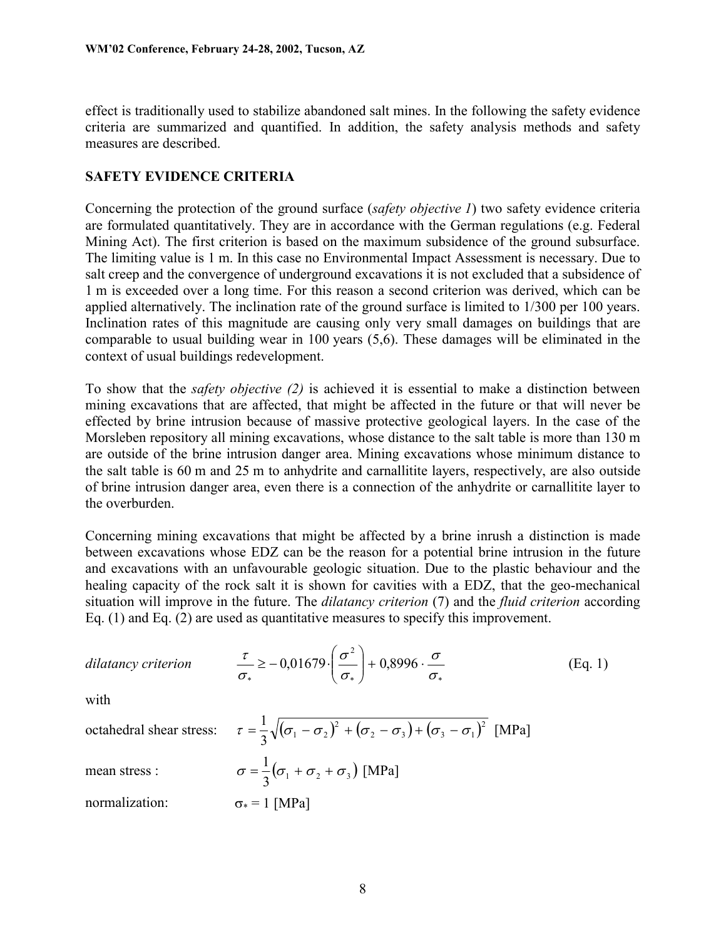effect is traditionally used to stabilize abandoned salt mines. In the following the safety evidence criteria are summarized and quantified. In addition, the safety analysis methods and safety measures are described.

### **SAFETY EVIDENCE CRITERIA**

Concerning the protection of the ground surface (*safety objective 1*) two safety evidence criteria are formulated quantitatively. They are in accordance with the German regulations (e.g. Federal Mining Act). The first criterion is based on the maximum subsidence of the ground subsurface. The limiting value is 1 m. In this case no Environmental Impact Assessment is necessary. Due to salt creep and the convergence of underground excavations it is not excluded that a subsidence of 1 m is exceeded over a long time. For this reason a second criterion was derived, which can be applied alternatively. The inclination rate of the ground surface is limited to 1/300 per 100 years. Inclination rates of this magnitude are causing only very small damages on buildings that are comparable to usual building wear in 100 years (5,6). These damages will be eliminated in the context of usual buildings redevelopment.

To show that the *safety objective (2)* is achieved it is essential to make a distinction between mining excavations that are affected, that might be affected in the future or that will never be effected by brine intrusion because of massive protective geological layers. In the case of the Morsleben repository all mining excavations, whose distance to the salt table is more than 130 m are outside of the brine intrusion danger area. Mining excavations whose minimum distance to the salt table is 60 m and 25 m to anhydrite and carnallitite layers, respectively, are also outside of brine intrusion danger area, even there is a connection of the anhydrite or carnallitite layer to the overburden.

Concerning mining excavations that might be affected by a brine inrush a distinction is made between excavations whose EDZ can be the reason for a potential brine intrusion in the future and excavations with an unfavourable geologic situation. Due to the plastic behaviour and the healing capacity of the rock salt it is shown for cavities with a EDZ, that the geo-mechanical situation will improve in the future. The *dilatancy criterion* (7) and the *fluid criterion* according Eq. (1) and Eq. (2) are used as quantitative measures to specify this improvement.

*dilatancy criterion*

$$
\frac{\tau}{\sigma_*} \ge -0.01679 \cdot \left(\frac{\sigma^2}{\sigma_*}\right) + 0.8996 \cdot \frac{\sigma}{\sigma_*} \tag{Eq. 1}
$$

with

octahedral shear stress:

$$
\tau = \frac{1}{3}\sqrt{(\sigma_1 - \sigma_2)^2 + (\sigma_2 - \sigma_3) + (\sigma_3 - \sigma_1)^2}
$$
 [MPa]  

$$
\sigma = \frac{1}{3}(\sigma_1 + \sigma_2 + \sigma_3)
$$
 [MPa]

mean stress :

normalization:  $\sigma_* = 1$  [MPa]

 $1 \quad r$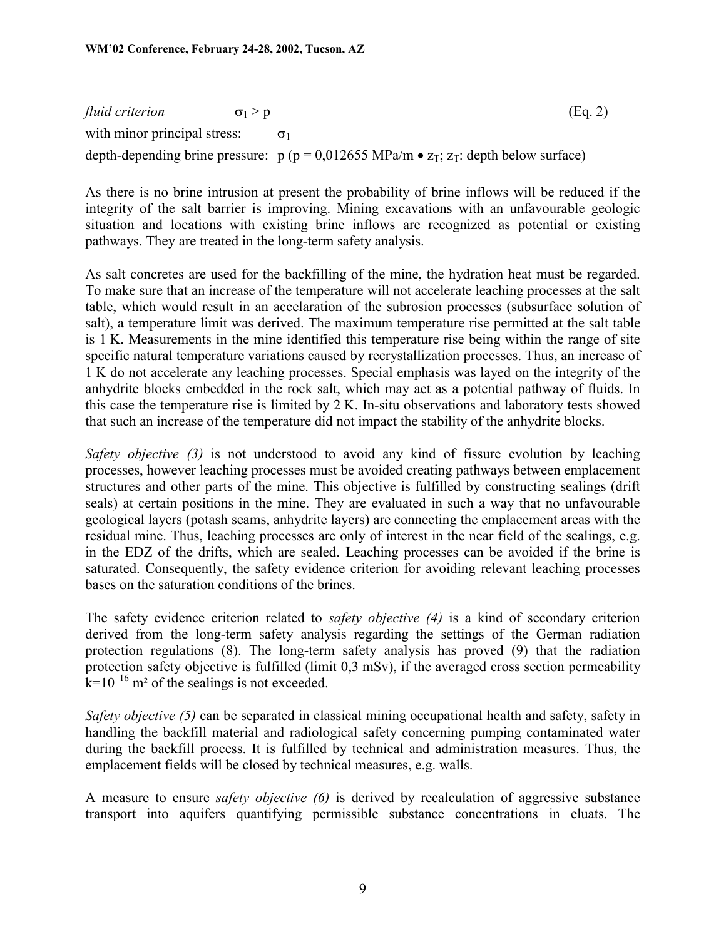*fluid criterion*  $\sigma_1 > p$  (Eq. 2) with minor principal stress:  $\sigma_1$ depth-depending brine pressure:  $p (p = 0.012655 MPa/m \cdot z_T$ ; z<sub>T</sub>: depth below surface)

As there is no brine intrusion at present the probability of brine inflows will be reduced if the integrity of the salt barrier is improving. Mining excavations with an unfavourable geologic situation and locations with existing brine inflows are recognized as potential or existing pathways. They are treated in the long-term safety analysis.

As salt concretes are used for the backfilling of the mine, the hydration heat must be regarded. To make sure that an increase of the temperature will not accelerate leaching processes at the salt table, which would result in an accelaration of the subrosion processes (subsurface solution of salt), a temperature limit was derived. The maximum temperature rise permitted at the salt table is 1 K. Measurements in the mine identified this temperature rise being within the range of site specific natural temperature variations caused by recrystallization processes. Thus, an increase of 1 K do not accelerate any leaching processes. Special emphasis was layed on the integrity of the anhydrite blocks embedded in the rock salt, which may act as a potential pathway of fluids. In this case the temperature rise is limited by 2 K. In-situ observations and laboratory tests showed that such an increase of the temperature did not impact the stability of the anhydrite blocks.

*Safety objective (3)* is not understood to avoid any kind of fissure evolution by leaching processes, however leaching processes must be avoided creating pathways between emplacement structures and other parts of the mine. This objective is fulfilled by constructing sealings (drift seals) at certain positions in the mine. They are evaluated in such a way that no unfavourable geological layers (potash seams, anhydrite layers) are connecting the emplacement areas with the residual mine. Thus, leaching processes are only of interest in the near field of the sealings, e.g. in the EDZ of the drifts, which are sealed. Leaching processes can be avoided if the brine is saturated. Consequently, the safety evidence criterion for avoiding relevant leaching processes bases on the saturation conditions of the brines.

The safety evidence criterion related to *safety objective (4)* is a kind of secondary criterion derived from the long-term safety analysis regarding the settings of the German radiation protection regulations (8). The long-term safety analysis has proved (9) that the radiation protection safety objective is fulfilled (limit 0,3 mSv), if the averaged cross section permeability  $k=10^{-16}$  m<sup>2</sup> of the sealings is not exceeded.

*Safety objective (5)* can be separated in classical mining occupational health and safety, safety in handling the backfill material and radiological safety concerning pumping contaminated water during the backfill process. It is fulfilled by technical and administration measures. Thus, the emplacement fields will be closed by technical measures, e.g. walls.

A measure to ensure *safety objective (6)* is derived by recalculation of aggressive substance transport into aquifers quantifying permissible substance concentrations in eluats. The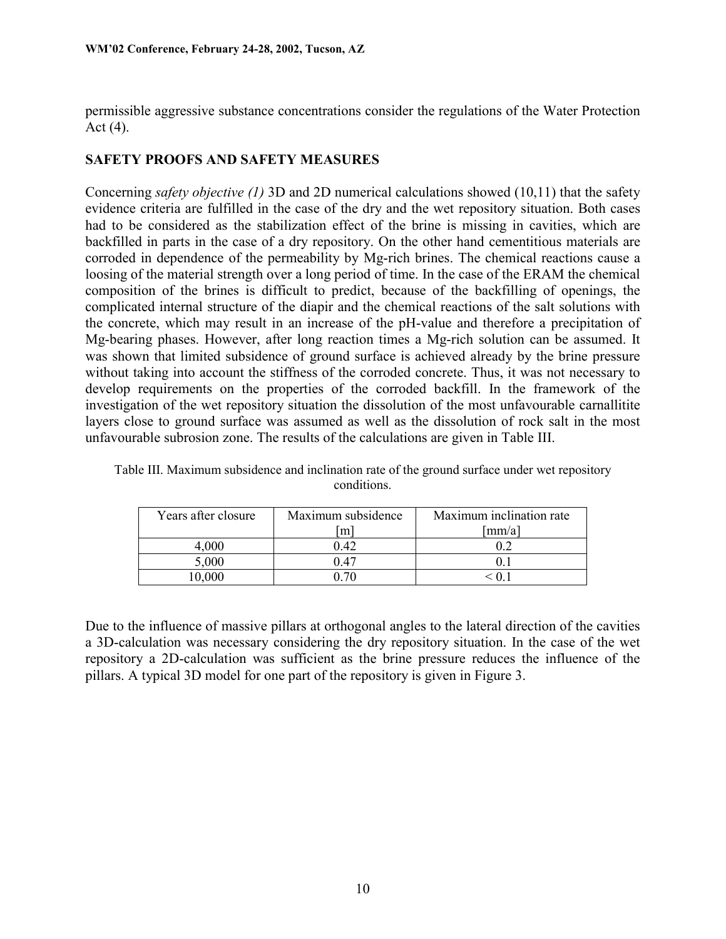permissible aggressive substance concentrations consider the regulations of the Water Protection Act  $(4)$ .

### **SAFETY PROOFS AND SAFETY MEASURES**

Concerning *safety objective (1)* 3D and 2D numerical calculations showed (10,11) that the safety evidence criteria are fulfilled in the case of the dry and the wet repository situation. Both cases had to be considered as the stabilization effect of the brine is missing in cavities, which are backfilled in parts in the case of a dry repository. On the other hand cementitious materials are corroded in dependence of the permeability by Mg-rich brines. The chemical reactions cause a loosing of the material strength over a long period of time. In the case of the ERAM the chemical composition of the brines is difficult to predict, because of the backfilling of openings, the complicated internal structure of the diapir and the chemical reactions of the salt solutions with the concrete, which may result in an increase of the pH-value and therefore a precipitation of Mg-bearing phases. However, after long reaction times a Mg-rich solution can be assumed. It was shown that limited subsidence of ground surface is achieved already by the brine pressure without taking into account the stiffness of the corroded concrete. Thus, it was not necessary to develop requirements on the properties of the corroded backfill. In the framework of the investigation of the wet repository situation the dissolution of the most unfavourable carnallitite layers close to ground surface was assumed as well as the dissolution of rock salt in the most unfavourable subrosion zone. The results of the calculations are given in Table III.

| Years after closure | Maximum subsidence<br>m | Maximum inclination rate<br>[mm/a] |
|---------------------|-------------------------|------------------------------------|
| 4.000               | 0.42                    |                                    |
| 5,000               | 0.47                    |                                    |
| 0.000               |                         |                                    |

Table III. Maximum subsidence and inclination rate of the ground surface under wet repository conditions.

Due to the influence of massive pillars at orthogonal angles to the lateral direction of the cavities a 3D-calculation was necessary considering the dry repository situation. In the case of the wet repository a 2D-calculation was sufficient as the brine pressure reduces the influence of the pillars. A typical 3D model for one part of the repository is given in Figure 3.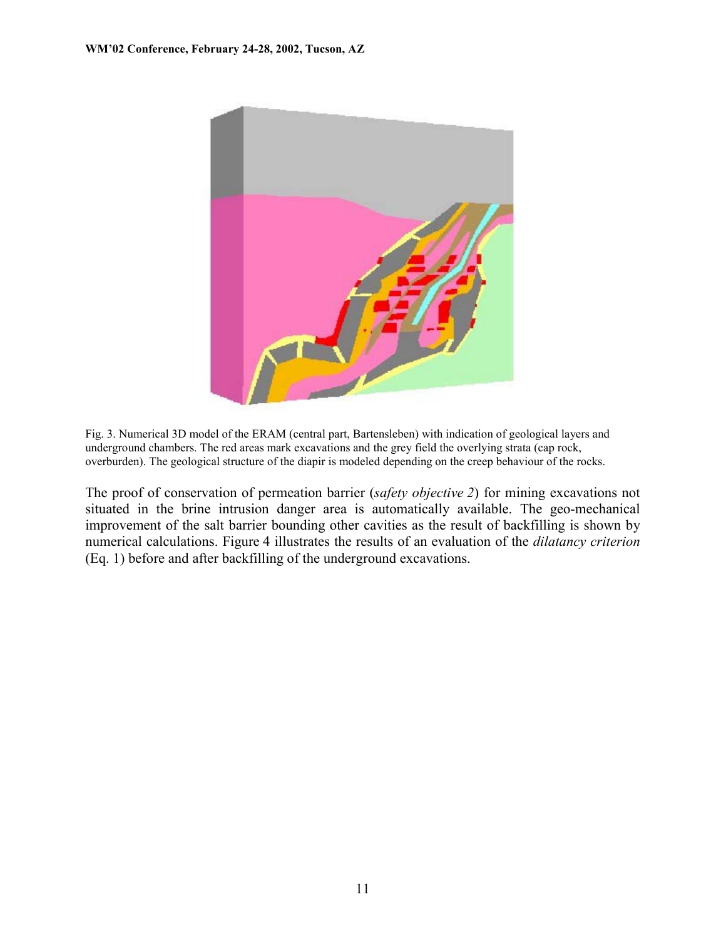

Fig. 3. Numerical 3D model of the ERAM (central part, Bartensleben) with indication of geological layers and underground chambers. The red areas mark excavations and the grey field the overlying strata (cap rock, overburden). The geological structure of the diapir is modeled depending on the creep behaviour of the rocks.

The proof of conservation of permeation barrier (*safety objective 2*) for mining excavations not situated in the brine intrusion danger area is automatically available. The geo-mechanical improvement of the salt barrier bounding other cavities as the result of backfilling is shown by numerical calculations. Figure 4 illustrates the results of an evaluation of the *dilatancy criterion* (Eq. 1) before and after backfilling of the underground excavations.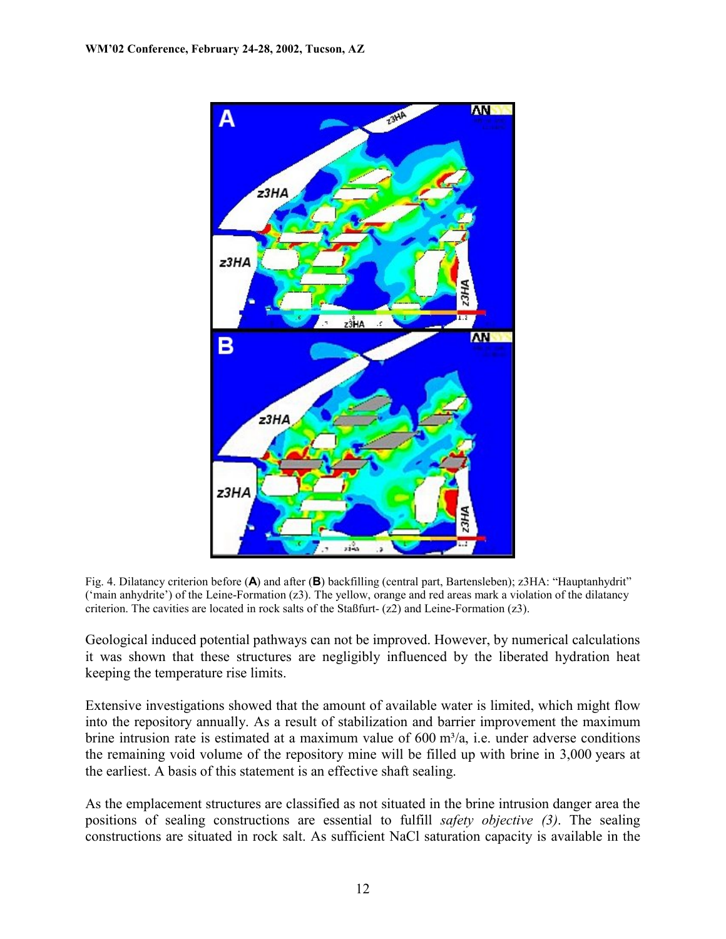

Fig. 4. Dilatancy criterion before (**A**) and after (**B**) backfilling (central part, Bartensleben); z3HA: "Hauptanhydrit" ('main anhydrite') of the Leine-Formation (z3). The yellow, orange and red areas mark a violation of the dilatancy criterion. The cavities are located in rock salts of the Staßfurt-  $(z2)$  and Leine-Formation  $(z3)$ .

Geological induced potential pathways can not be improved. However, by numerical calculations it was shown that these structures are negligibly influenced by the liberated hydration heat keeping the temperature rise limits.

Extensive investigations showed that the amount of available water is limited, which might flow into the repository annually. As a result of stabilization and barrier improvement the maximum brine intrusion rate is estimated at a maximum value of  $600 \text{ m}^3/\text{a}$ , i.e. under adverse conditions the remaining void volume of the repository mine will be filled up with brine in 3,000 years at the earliest. A basis of this statement is an effective shaft sealing.

As the emplacement structures are classified as not situated in the brine intrusion danger area the positions of sealing constructions are essential to fulfill *safety objective (3)*. The sealing constructions are situated in rock salt. As sufficient NaCl saturation capacity is available in the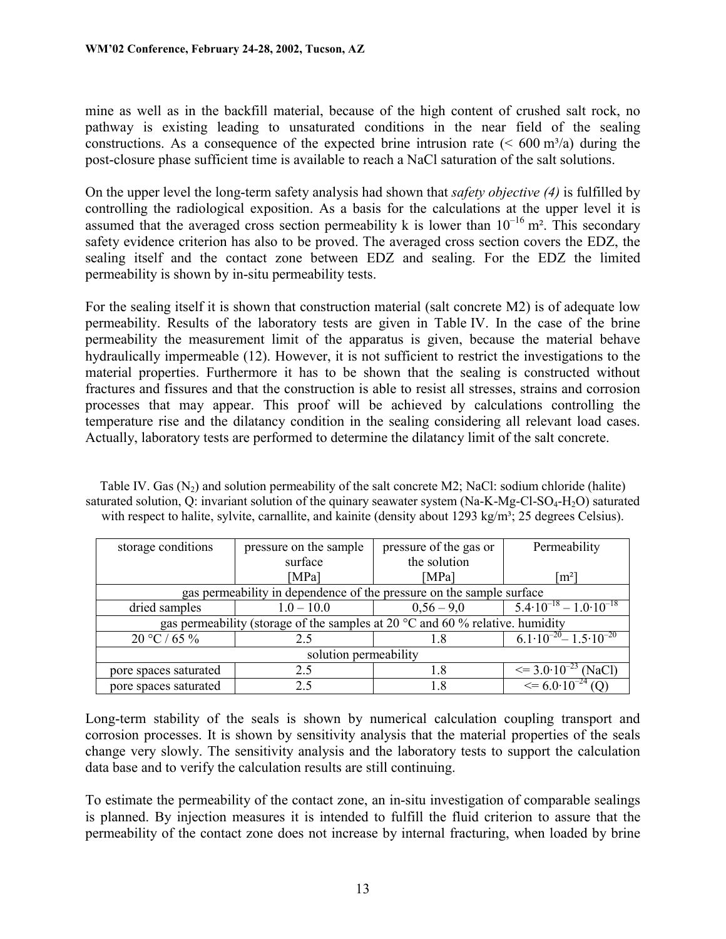mine as well as in the backfill material, because of the high content of crushed salt rock, no pathway is existing leading to unsaturated conditions in the near field of the sealing constructions. As a consequence of the expected brine intrusion rate ( $\leq 600 \text{ m}^3/\text{a}$ ) during the post-closure phase sufficient time is available to reach a NaCl saturation of the salt solutions.

On the upper level the long-term safety analysis had shown that *safety objective (4)* is fulfilled by controlling the radiological exposition. As a basis for the calculations at the upper level it is assumed that the averaged cross section permeability k is lower than  $10^{-16}$  m<sup>2</sup>. This secondary safety evidence criterion has also to be proved. The averaged cross section covers the EDZ, the sealing itself and the contact zone between EDZ and sealing. For the EDZ the limited permeability is shown by in-situ permeability tests.

For the sealing itself it is shown that construction material (salt concrete M2) is of adequate low permeability. Results of the laboratory tests are given in Table IV. In the case of the brine permeability the measurement limit of the apparatus is given, because the material behave hydraulically impermeable (12). However, it is not sufficient to restrict the investigations to the material properties. Furthermore it has to be shown that the sealing is constructed without fractures and fissures and that the construction is able to resist all stresses, strains and corrosion processes that may appear. This proof will be achieved by calculations controlling the temperature rise and the dilatancy condition in the sealing considering all relevant load cases. Actually, laboratory tests are performed to determine the dilatancy limit of the salt concrete.

| storage conditions                                                                        | pressure on the sample | pressure of the gas or | Permeability                              |  |  |
|-------------------------------------------------------------------------------------------|------------------------|------------------------|-------------------------------------------|--|--|
|                                                                                           | surface                | the solution           |                                           |  |  |
|                                                                                           | [MPa]                  | [ $MPa$ ]              | $\lceil m^2 \rceil$                       |  |  |
| gas permeability in dependence of the pressure on the sample surface                      |                        |                        |                                           |  |  |
| dried samples                                                                             | $1.0 - 10.0$           | $0,56 - 9,0$           | $5.4 \cdot 10^{-18} - 1.0 \cdot 10^{-18}$ |  |  |
| gas permeability (storage of the samples at 20 $\degree$ C and 60 $\%$ relative. humidity |                        |                        |                                           |  |  |
| $20 °C / 65 \%$                                                                           | 2.5                    | 1.8                    | $6.1 \cdot 10^{-20} - 1.5 \cdot 10^{-20}$ |  |  |
| solution permeability                                                                     |                        |                        |                                           |  |  |
| pore spaces saturated                                                                     | 2.5                    | 1.8                    | $\leq$ 3.0.10 <sup>-23</sup><br>(NaCl)    |  |  |
| pore spaces saturated                                                                     |                        | 1.8                    | $\leq$ = 6.0.10 <sup>-24</sup> (Q)        |  |  |

Table IV. Gas  $(N_2)$  and solution permeability of the salt concrete M2; NaCl: sodium chloride (halite) saturated solution, Q: invariant solution of the quinary seawater system (Na-K-Mg-Cl-SO<sub>4</sub>-H<sub>2</sub>O) saturated with respect to halite, sylvite, carnallite, and kainite (density about  $1293 \text{ kg/m}^3$ ; 25 degrees Celsius).

Long-term stability of the seals is shown by numerical calculation coupling transport and corrosion processes. It is shown by sensitivity analysis that the material properties of the seals change very slowly. The sensitivity analysis and the laboratory tests to support the calculation data base and to verify the calculation results are still continuing.

To estimate the permeability of the contact zone, an in-situ investigation of comparable sealings is planned. By injection measures it is intended to fulfill the fluid criterion to assure that the permeability of the contact zone does not increase by internal fracturing, when loaded by brine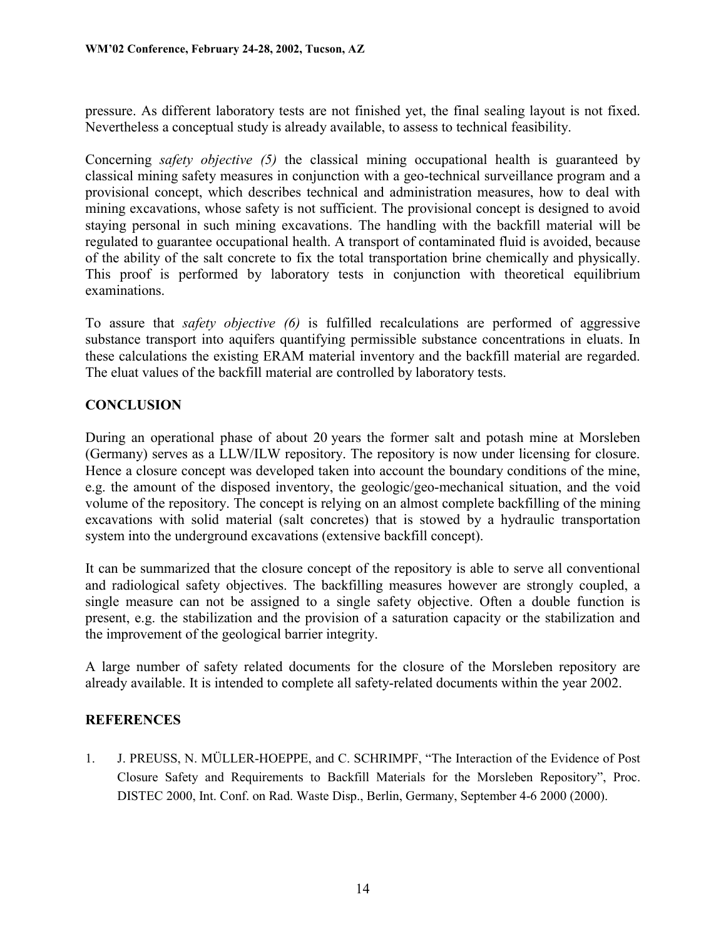pressure. As different laboratory tests are not finished yet, the final sealing layout is not fixed. Nevertheless a conceptual study is already available, to assess to technical feasibility.

Concerning *safety objective (5)* the classical mining occupational health is guaranteed by classical mining safety measures in conjunction with a geo-technical surveillance program and a provisional concept, which describes technical and administration measures, how to deal with mining excavations, whose safety is not sufficient. The provisional concept is designed to avoid staying personal in such mining excavations. The handling with the backfill material will be regulated to guarantee occupational health. A transport of contaminated fluid is avoided, because of the ability of the salt concrete to fix the total transportation brine chemically and physically. This proof is performed by laboratory tests in conjunction with theoretical equilibrium examinations.

To assure that *safety objective (6)* is fulfilled recalculations are performed of aggressive substance transport into aquifers quantifying permissible substance concentrations in eluats. In these calculations the existing ERAM material inventory and the backfill material are regarded. The eluat values of the backfill material are controlled by laboratory tests.

# **CONCLUSION**

During an operational phase of about 20 years the former salt and potash mine at Morsleben (Germany) serves as a LLW/ILW repository. The repository is now under licensing for closure. Hence a closure concept was developed taken into account the boundary conditions of the mine, e.g. the amount of the disposed inventory, the geologic/geo-mechanical situation, and the void volume of the repository. The concept is relying on an almost complete backfilling of the mining excavations with solid material (salt concretes) that is stowed by a hydraulic transportation system into the underground excavations (extensive backfill concept).

It can be summarized that the closure concept of the repository is able to serve all conventional and radiological safety objectives. The backfilling measures however are strongly coupled, a single measure can not be assigned to a single safety objective. Often a double function is present, e.g. the stabilization and the provision of a saturation capacity or the stabilization and the improvement of the geological barrier integrity.

A large number of safety related documents for the closure of the Morsleben repository are already available. It is intended to complete all safety-related documents within the year 2002.

# **REFERENCES**

1. J. PREUSS, N. MÜLLER-HOEPPE, and C. SCHRIMPF, "The Interaction of the Evidence of Post Closure Safety and Requirements to Backfill Materials for the Morsleben Repository", Proc. DISTEC 2000, Int. Conf. on Rad. Waste Disp., Berlin, Germany, September 4-6 2000 (2000).